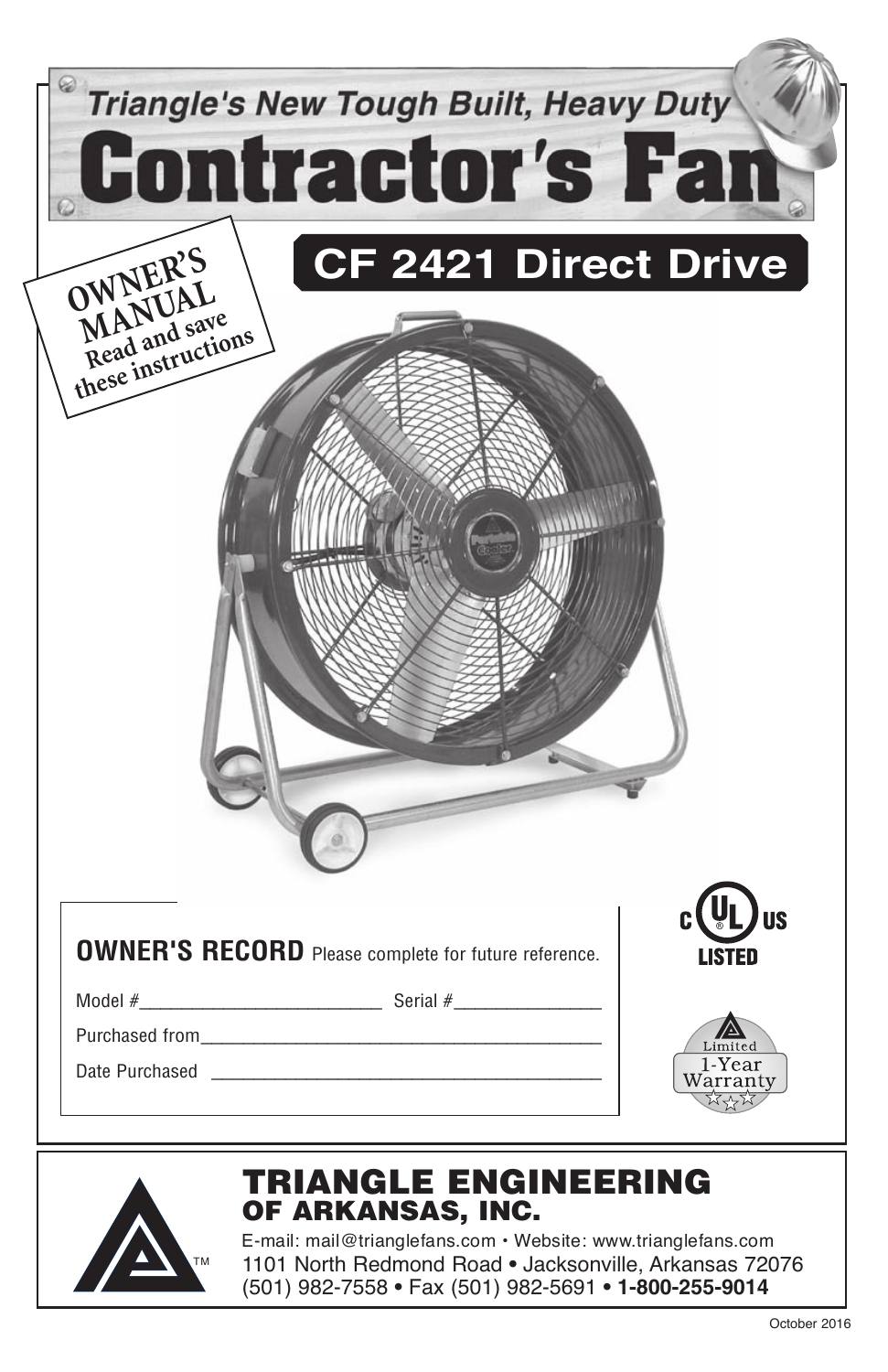| <b>Triangle's New Tough Built, Heavy Duty</b><br><b>Contractor's Fan</b><br><b>CF 2421 Direct Drive</b><br>OWNER'S<br>Read and save<br>these instructions                                                                          |                    |
|------------------------------------------------------------------------------------------------------------------------------------------------------------------------------------------------------------------------------------|--------------------|
|                                                                                                                                                                                                                                    |                    |
| <b>OWNER'S RECORD</b> Please complete for future reference.<br>Serial #<br>Model $#$<br>Purchased from<br>Date Purchased                                                                                                           | 1-Year<br>Warranty |
| TRIANGLE ENGINEERING<br>OF ARKANSAS, INC.<br>E-mail: mail@trianglefans.com • Website: www.trianglefans.com<br>1101 North Redmond Road . Jacksonville, Arkansas 72076<br>ТM<br>(501) 982-7558 · Fax (501) 982-5691 · 1-800-255-9014 |                    |

 $\frac{1}{2}$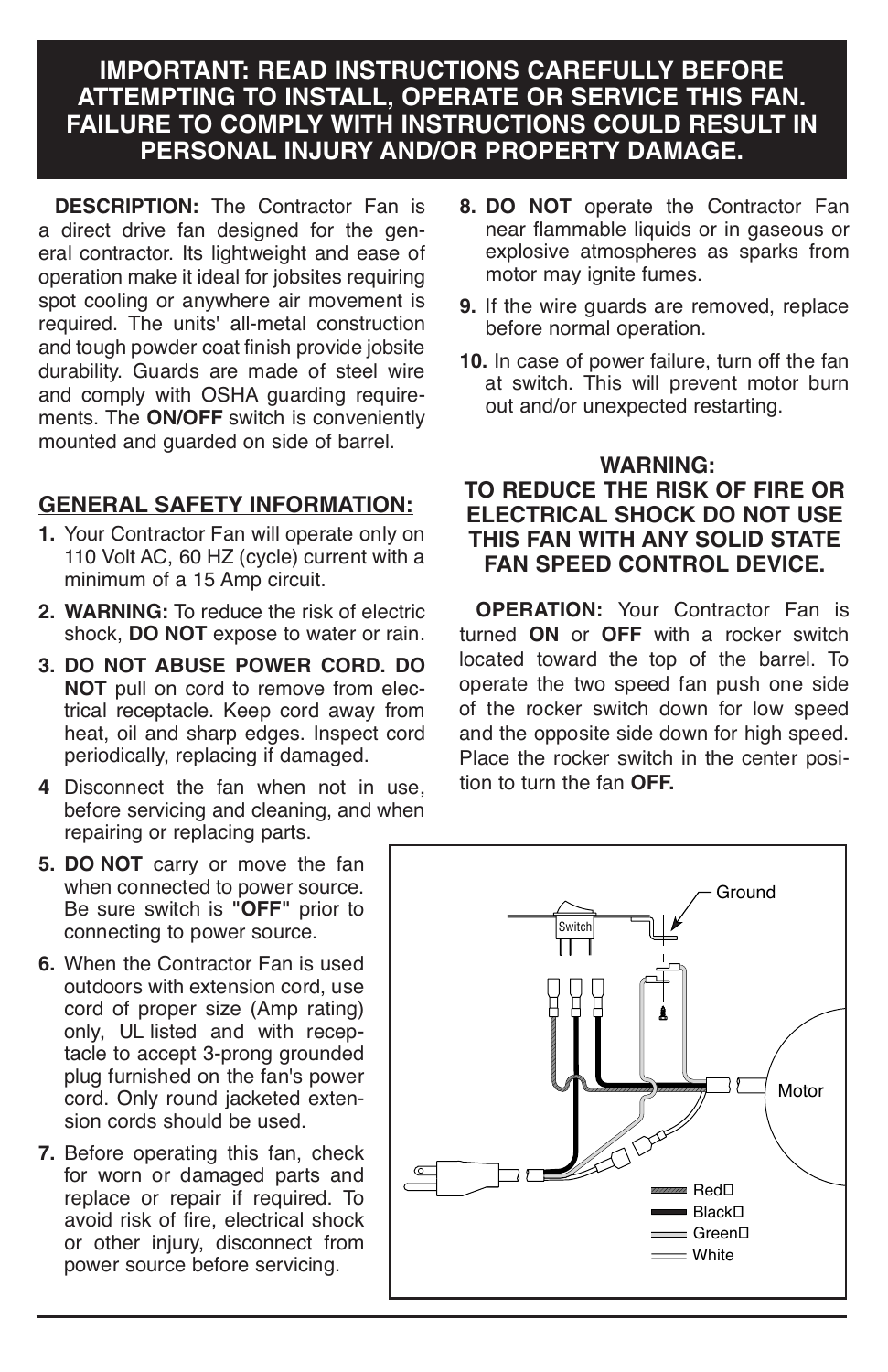## **IMPORTANT: READ INSTRUCTIONS CAREFULLY BEFORE ATTEMPTING TO INSTALL, OPERATE OR SERVICE THIS FAN. FAILURE TO COMPLY WITH INSTRUCTIONS COULD RESULT IN PERSONAL INJURY AND/OR PROPERTY DAMAGE.**

**DESCRIPTION:** The Contractor Fan is a direct drive fan designed for the general contractor. Its lightweight and ease of operation make it ideal for jobsites requiring spot cooling or anywhere air movement is required. The units' all-metal construction<br>and tough powder coat finish provide jobsite durability. Guards are made of steel wire and comply with OSHA guarding requirements. The **ON/OFF** switch is conveniently mounted and guarded on side of barrel.

## **GENERAL SAFETY INFORMATION:**

- **1.** Your Contractor Fan will operate only on 110 Volt AC, 60 HZ (cycle) current with a minimum of a 15 Amp circuit.
- **2. WARNING:** To reduce the risk of electric shock, **DO NOT** expose to water or rain.
- **3. DO NOT ABUSE POWER CORD. DO NOT** pull on cord to remove from electrical receptacle. Keep cord away from heat, oil and sharp edges. Inspect cord periodically, replacing if damaged.
- **<sup>4</sup>** Disconnect the fan when not in use, before servicing and cleaning, and when repairing or replacing parts.
- **5. DO NOT** carry or move the fan when connected to power source. Be sure switch is "OFF" prior to connecting to power source.
- **6.** When the Contractor Fan is used outdoors with extension cord, use cord of proper size (Amp rating) only, UL listed and with receptacle to accept 3-prong grounded only, UL listed and with recep-<br>tacle to accept 3-prong grounded<br>plug furnished on the fan's power cord. Only round jacketed extension cords should be used.
- **7.** Before operating this fan, check for worn or damaged parts and replace or repair if required. To avoid risk of fire, electrical shock or other injury, disconnect from power source before servicing.
- **8. DO NOT** operate the Contractor Fan near flammable liquids or in gaseous or explosive atmospheres as sparks from motor may jonite fumes.
- **9.** If the wire guards are removed, replace before normal operation.
- **10.** In case of power failure, turn off the fan at switch. This will prevent motor burn out and/or unexpected restarting.

### **WARNING: TO REDUCE THE RISK OF FIRE OR ELECTRICAL SHOCK DO NOT USE THIS FAN WITH ANY SOLID STATE FAN SPEED CONTROL DEVICE.**

**OPERATION:** Your Contractor Fan is turned **ON** or **OFF** with a rocker switch located toward the top of the barrel. To<br>operate the two speed fan push one side<br>of the rocker switch down for low speed<br>and the opposite side down for high speed.<br>Place the rocker switch in the center position to turn the fan **OFF.**

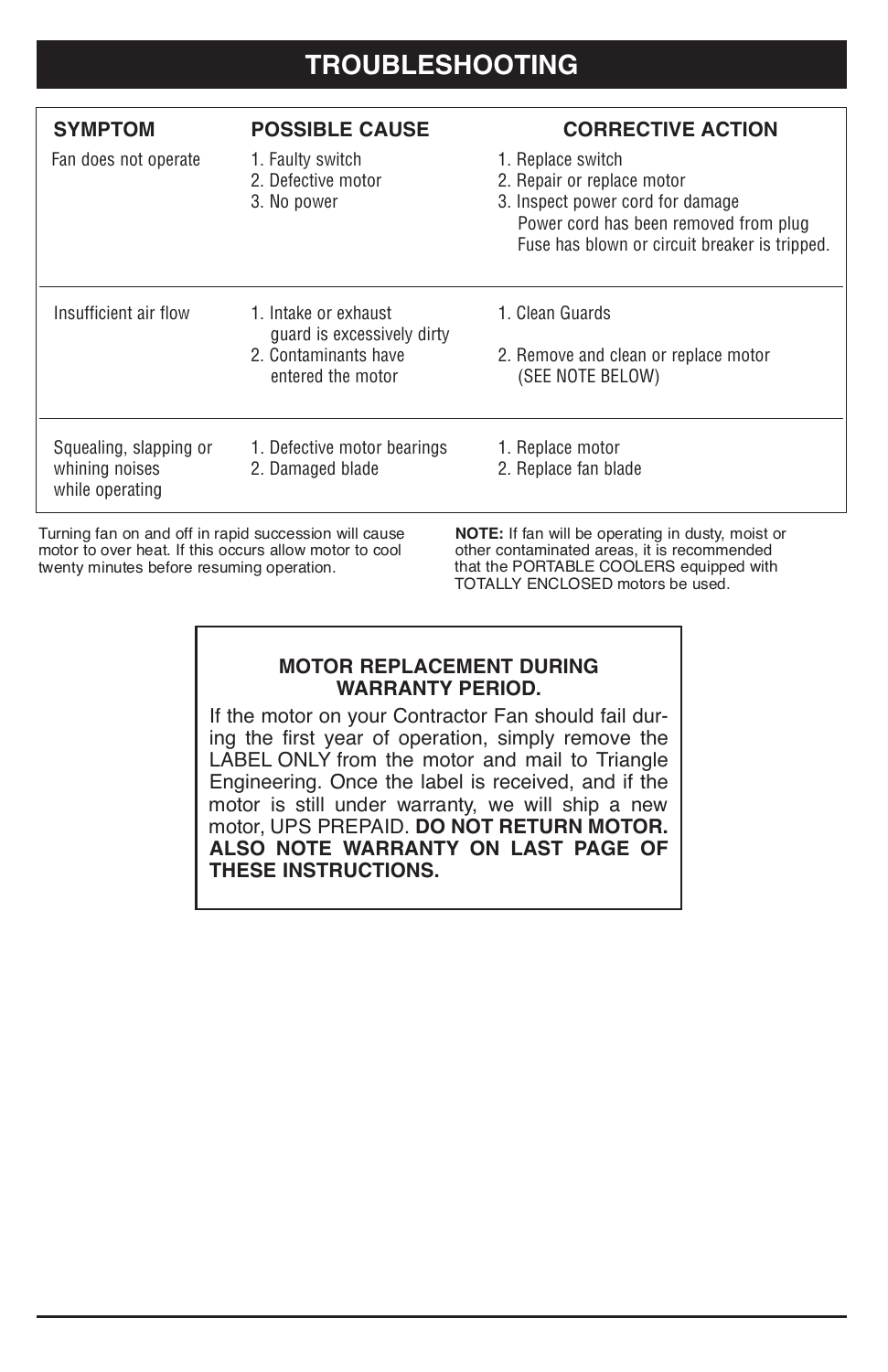| <b>SYMPTOM</b>                                              | <b>POSSIBLE CAUSE</b>                                 | <b>CORRECTIVE ACTION</b>                                                                                                                                                      |
|-------------------------------------------------------------|-------------------------------------------------------|-------------------------------------------------------------------------------------------------------------------------------------------------------------------------------|
| Fan does not operate                                        | 1. Faulty switch<br>2. Defective motor<br>3. No power | 1. Replace switch<br>2. Repair or replace motor<br>3. Inspect power cord for damage<br>Power cord has been removed from plug<br>Fuse has blown or circuit breaker is tripped. |
| Insufficient air flow                                       | 1. Intake or exhaust<br>quard is excessively dirty    | 1. Clean Guards                                                                                                                                                               |
|                                                             | 2. Contaminants have<br>entered the motor             | 2. Remove and clean or replace motor<br>(SEE NOTE BELOW)                                                                                                                      |
| Squealing, slapping or<br>whining noises<br>while operating | 1. Defective motor bearings<br>2. Damaged blade       | 1. Replace motor<br>2. Replace fan blade                                                                                                                                      |

Turning fan on and off in rapid succession will cause<br>
motor to over heat. If this occurs allow motor to cool other contaminated areas, it is recommended<br>
twenty minutes before resuming operation. **If the PORTABLE COOLERS** 

other contaminated areas, it is recommended TOTALLY ENCLOSED motors be used.

#### **MOTOR REPLACEMENT DURING WARRANTY PERIOD.**

If the motor on your Contractor Fan should fail during the first year of operation, simply remove the LABEL ONLY from the motor and mail to Triangle Engineering. Once the label is received, and if the motor is still under warranty, we will ship a new motor, UPS PREPAID. DO NOT RETURN MOTOR. **ALSO NOTE WARRANTY ON LAST PAGE OF THESE INSTRUCTIONS.**